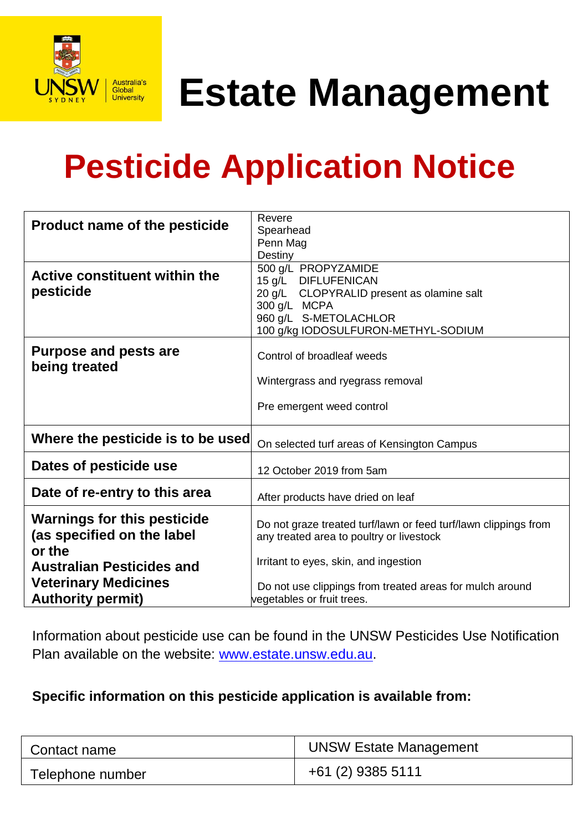

**Estate Management** 

## **Pesticide Application Notice**

|                                      | Revere                                                          |  |
|--------------------------------------|-----------------------------------------------------------------|--|
| <b>Product name of the pesticide</b> | Spearhead                                                       |  |
|                                      | Penn Mag                                                        |  |
|                                      | Destiny                                                         |  |
| <b>Active constituent within the</b> | 500 g/L PROPYZAMIDE                                             |  |
|                                      | <b>DIFLUFENICAN</b><br>$15$ g/L                                 |  |
| pesticide                            | CLOPYRALID present as olamine salt<br>$20$ g/L                  |  |
|                                      | 300 g/L MCPA                                                    |  |
|                                      | 960 g/L S-METOLACHLOR                                           |  |
|                                      | 100 g/kg IODOSULFURON-METHYL-SODIUM                             |  |
| <b>Purpose and pests are</b>         | Control of broadleaf weeds                                      |  |
| being treated                        |                                                                 |  |
|                                      | Wintergrass and ryegrass removal                                |  |
|                                      |                                                                 |  |
|                                      | Pre emergent weed control                                       |  |
|                                      |                                                                 |  |
| Where the pesticide is to be used    | On selected turf areas of Kensington Campus                     |  |
| Dates of pesticide use               | 12 October 2019 from 5am                                        |  |
|                                      |                                                                 |  |
| Date of re-entry to this area        | After products have dried on leaf                               |  |
|                                      |                                                                 |  |
| <b>Warnings for this pesticide</b>   | Do not graze treated turf/lawn or feed turf/lawn clippings from |  |
| (as specified on the label           | any treated area to poultry or livestock                        |  |
| or the                               |                                                                 |  |
| <b>Australian Pesticides and</b>     | Irritant to eyes, skin, and ingestion                           |  |
|                                      |                                                                 |  |
| <b>Veterinary Medicines</b>          | Do not use clippings from treated areas for mulch around        |  |
| <b>Authority permit)</b>             | vegetables or fruit trees.                                      |  |

Information about pesticide use can be found in the UNSW Pesticides Use Notification Plan available on the website: [www.estate.unsw.edu.au.](http://www.estate.unsw.edu.au/)

## **Specific information on this pesticide application is available from:**

| Contact name     | <b>UNSW Estate Management</b> |
|------------------|-------------------------------|
| Telephone number | +61 (2) 9385 5111             |